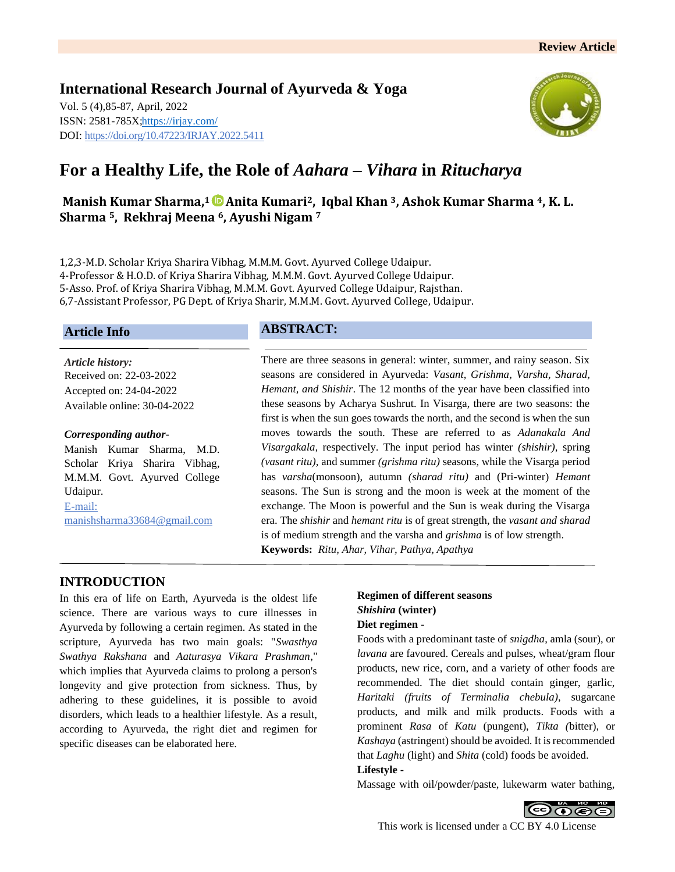# **International Research Journal of Ayurveda & Yoga** Vol. 5 (4),85-87, April, 2022 ISSN: 2581-785X[; https://irjay.com/](https://irjay.com/) DOI: https://doi.org/10.47223/IRJAY.2022.5411



# **For a Healthy Life, the Role of** *Aahara* **–** *Vihara* **in** *Ritucharya*

**Manish Kumar Sharma, <sup>1</sup>Anita Kumari2, Iqbal Khan 3, Ashok Kumar Sharma 4, K. L. Sharma 5, Rekhraj Meena 6, Ayushi Nigam <sup>7</sup>**

1,2,3-M.D. Scholar Kriya Sharira Vibhag, M.M.M. Govt. Ayurved College Udaipur. 4-Professor & H.O.D. of Kriya Sharira Vibhag, M.M.M. Govt. Ayurved College Udaipur. 5-Asso. Prof. of Kriya Sharira Vibhag, M.M.M. Govt. Ayurved College Udaipur, Rajsthan. 6,7-Assistant Professor, PG Dept. of Kriya Sharir, M.M.M. Govt. Ayurved College, Udaipur.

# **Article Info**

*Article history:* Received on: 22-03-2022 Accepted on: 24-04-2022 Available online: 30-04-2022

#### *Corresponding author-*

Manish Kumar Sharma, M.D. Scholar Kriya Sharira Vibhag, M.M.M. Govt. Ayurved College Udaipur. E-mail: manishsharma33684@gmail.com

# **ABSTRACT:**

There are three seasons in general: winter, summer, and rainy season. Six seasons are considered in Ayurveda: *Vasant, Grishma, Varsha, Sharad, Hemant, and Shishir*. The 12 months of the year have been classified into these seasons by Acharya Sushrut. In Visarga, there are two seasons: the first is when the sun goes towards the north, and the second is when the sun moves towards the south. These are referred to as *Adanakala And Visargakala,* respectively. The input period has winter *(shishir),* spring *(vasant ritu),* and summer *(grishma ritu)* seasons, while the Visarga period has *varsha*(monsoon), autumn *(sharad ritu)* and (Pri-winter) *Hemant*  seasons. The Sun is strong and the moon is week at the moment of the exchange. The Moon is powerful and the Sun is weak during the Visarga era. The *shishir* and *hemant ritu* is of great strength, the *vasant and sharad* is of medium strength and the varsha and *grishma* is of low strength. **Keywords:** *Ritu, Ahar, Vihar, Pathya, Apathya*

## **INTRODUCTION**

In this era of life on Earth, Ayurveda is the oldest life science. There are various ways to cure illnesses in Ayurveda by following a certain regimen. As stated in the scripture, Ayurveda has two main goals: "*Swasthya Swathya Rakshana* and *Aaturasya Vikara Prashman*," which implies that Ayurveda claims to prolong a person's longevity and give protection from sickness. Thus, by adhering to these guidelines, it is possible to avoid disorders, which leads to a healthier lifestyle. As a result, according to Ayurveda, the right diet and regimen for specific diseases can be elaborated here.

# **Regimen of different seasons**  *Shishira* **(winter) Diet regimen -**

Foods with a predominant taste of *snigdha*, amla (sour), or *lavana* are favoured. Cereals and pulses, wheat/gram flour products, new rice, corn, and a variety of other foods are recommended. The diet should contain ginger, garlic, *Haritaki (fruits of Terminalia chebula),* sugarcane products, and milk and milk products. Foods with a prominent *Rasa* of *Katu* (pungent), *Tikta (*bitter), or *Kashaya* (astringent) should be avoided. It is recommended that *Laghu* (light) and *Shita* (cold) foods be avoided.

#### **Lifestyle -**

Massage with oil/powder/paste, lukewarm water bathing,

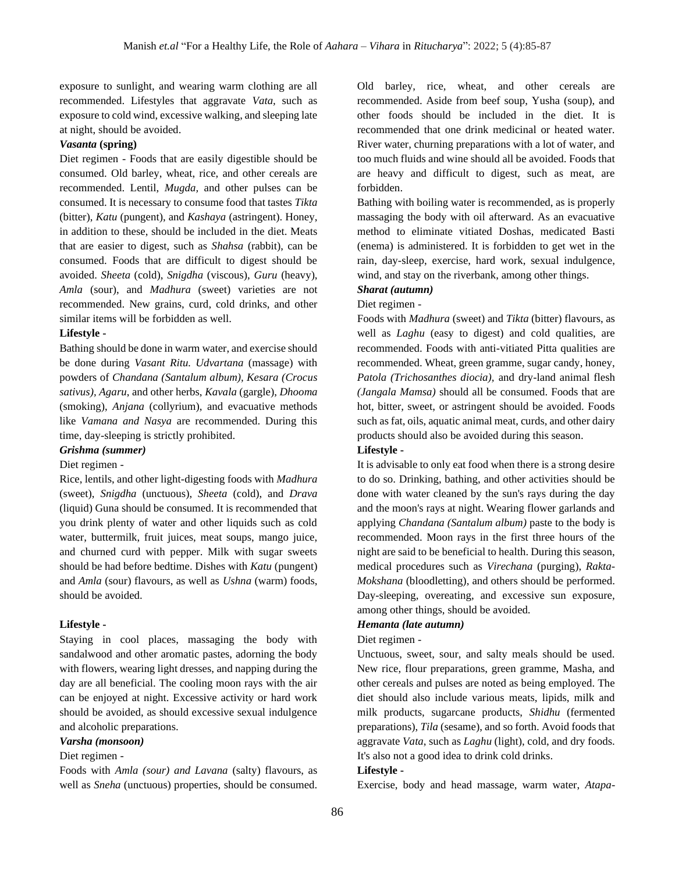exposure to sunlight, and wearing warm clothing are all recommended. Lifestyles that aggravate *Vata,* such as exposure to cold wind, excessive walking, and sleeping late at night, should be avoided.

#### *Vasanta* **(spring)**

Diet regimen - Foods that are easily digestible should be consumed. Old barley, wheat, rice, and other cereals are recommended. Lentil, *Mugda,* and other pulses can be consumed. It is necessary to consume food that tastes *Tikta* (bitter), *Katu* (pungent), and *Kashaya* (astringent). Honey, in addition to these, should be included in the diet. Meats that are easier to digest, such as *Shahsa* (rabbit), can be consumed. Foods that are difficult to digest should be avoided. *Sheeta* (cold), *Snigdha* (viscous), *Guru* (heavy), *Amla* (sour), and *Madhura* (sweet) varieties are not recommended. New grains, curd, cold drinks, and other similar items will be forbidden as well.

#### **Lifestyle -**

Bathing should be done in warm water, and exercise should be done during *Vasant Ritu. Udvartana* (massage) with powders of *Chandana (Santalum album), Kesara (Crocus sativus), Agaru*, and other herbs, *Kavala* (gargle), *Dhooma* (smoking), *Anjana* (collyrium), and evacuative methods like *Vamana and Nasya* are recommended. During this time, day-sleeping is strictly prohibited.

*Grishma (summer)*

#### Diet regimen -

Rice, lentils, and other light-digesting foods with *Madhura* (sweet), *Snigdha* (unctuous), *Sheeta* (cold), and *Drava*  (liquid) Guna should be consumed. It is recommended that you drink plenty of water and other liquids such as cold water, buttermilk, fruit juices, meat soups, mango juice, and churned curd with pepper. Milk with sugar sweets should be had before bedtime. Dishes with *Katu* (pungent) and *Amla* (sour) flavours, as well as *Ushna* (warm) foods, should be avoided.

#### **Lifestyle -**

Staying in cool places, massaging the body with sandalwood and other aromatic pastes, adorning the body with flowers, wearing light dresses, and napping during the day are all beneficial. The cooling moon rays with the air can be enjoyed at night. Excessive activity or hard work should be avoided, as should excessive sexual indulgence and alcoholic preparations.

#### *Varsha (monsoon)*

#### Diet regimen -

Foods with *Amla (sour) and Lavana* (salty) flavours, as well as *Sneha* (unctuous) properties, should be consumed.

Old barley, rice, wheat, and other cereals are recommended. Aside from beef soup, Yusha (soup), and other foods should be included in the diet. It is recommended that one drink medicinal or heated water. River water, churning preparations with a lot of water, and too much fluids and wine should all be avoided. Foods that are heavy and difficult to digest, such as meat, are forbidden.

Bathing with boiling water is recommended, as is properly massaging the body with oil afterward. As an evacuative method to eliminate vitiated Doshas, medicated Basti (enema) is administered. It is forbidden to get wet in the rain, day-sleep, exercise, hard work, sexual indulgence, wind, and stay on the riverbank, among other things.

## *Sharat (autumn)*

#### Diet regimen -

Foods with *Madhura* (sweet) and *Tikta* (bitter) flavours, as well as *Laghu* (easy to digest) and cold qualities, are recommended. Foods with anti-vitiated Pitta qualities are recommended. Wheat, green gramme, sugar candy, honey, *Patola (Trichosanthes diocia),* and dry-land animal flesh *(Jangala Mamsa)* should all be consumed. Foods that are hot, bitter, sweet, or astringent should be avoided. Foods such as fat, oils, aquatic animal meat, curds, and other dairy products should also be avoided during this season.

## **Lifestyle -**

It is advisable to only eat food when there is a strong desire to do so. Drinking, bathing, and other activities should be done with water cleaned by the sun's rays during the day and the moon's rays at night. Wearing flower garlands and applying *Chandana (Santalum album)* paste to the body is recommended. Moon rays in the first three hours of the night are said to be beneficial to health. During this season, medical procedures such as *Virechana* (purging), *Rakta-Mokshana* (bloodletting), and others should be performed. Day-sleeping, overeating, and excessive sun exposure, among other things, should be avoided.

#### *Hemanta (late autumn)*

#### Diet regimen -

Unctuous, sweet, sour, and salty meals should be used. New rice, flour preparations, green gramme, Masha, and other cereals and pulses are noted as being employed. The diet should also include various meats, lipids, milk and milk products, sugarcane products, *Shidhu* (fermented preparations), *Tila* (sesame), and so forth. Avoid foods that aggravate *Vata*, such as *Laghu* (light), cold, and dry foods. It's also not a good idea to drink cold drinks.

#### **Lifestyle -**

Exercise, body and head massage, warm water, *Atapa-*